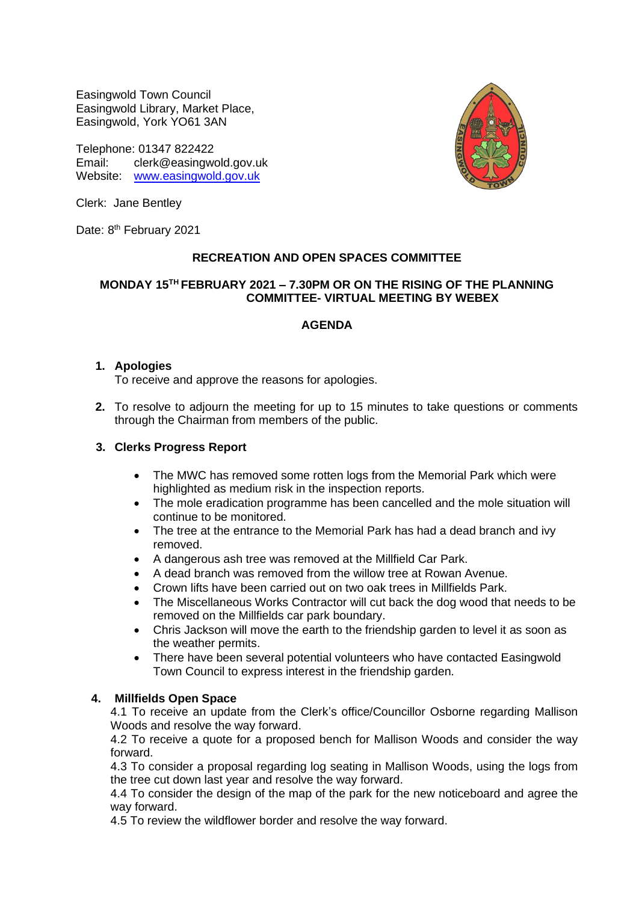Easingwold Town Council Easingwold Library, Market Place, Easingwold, York YO61 3AN

Telephone: 01347 822422 Email: clerk@easingwold.gov.uk Website: [www.easingwold.gov.uk](http://www.easingwold.gov.uk/)



Clerk: Jane Bentley

Date: 8<sup>th</sup> February 2021

# **RECREATION AND OPEN SPACES COMMITTEE**

## **MONDAY 15TH FEBRUARY 2021 – 7.30PM OR ON THE RISING OF THE PLANNING COMMITTEE- VIRTUAL MEETING BY WEBEX**

# **AGENDA**

## **1. Apologies**

To receive and approve the reasons for apologies.

**2.** To resolve to adjourn the meeting for up to 15 minutes to take questions or comments through the Chairman from members of the public.

## **3. Clerks Progress Report**

- The MWC has removed some rotten logs from the Memorial Park which were highlighted as medium risk in the inspection reports.
- The mole eradication programme has been cancelled and the mole situation will continue to be monitored.
- The tree at the entrance to the Memorial Park has had a dead branch and ivy removed.
- A dangerous ash tree was removed at the Millfield Car Park.
- A dead branch was removed from the willow tree at Rowan Avenue.
- Crown lifts have been carried out on two oak trees in Millfields Park.
- The Miscellaneous Works Contractor will cut back the dog wood that needs to be removed on the Millfields car park boundary.
- Chris Jackson will move the earth to the friendship garden to level it as soon as the weather permits.
- There have been several potential volunteers who have contacted Easingwold Town Council to express interest in the friendship garden.

## **4. Millfields Open Space**

4.1 To receive an update from the Clerk's office/Councillor Osborne regarding Mallison Woods and resolve the way forward.

4.2 To receive a quote for a proposed bench for Mallison Woods and consider the way forward.

4.3 To consider a proposal regarding log seating in Mallison Woods, using the logs from the tree cut down last year and resolve the way forward.

4.4 To consider the design of the map of the park for the new noticeboard and agree the way forward.

4.5 To review the wildflower border and resolve the way forward.